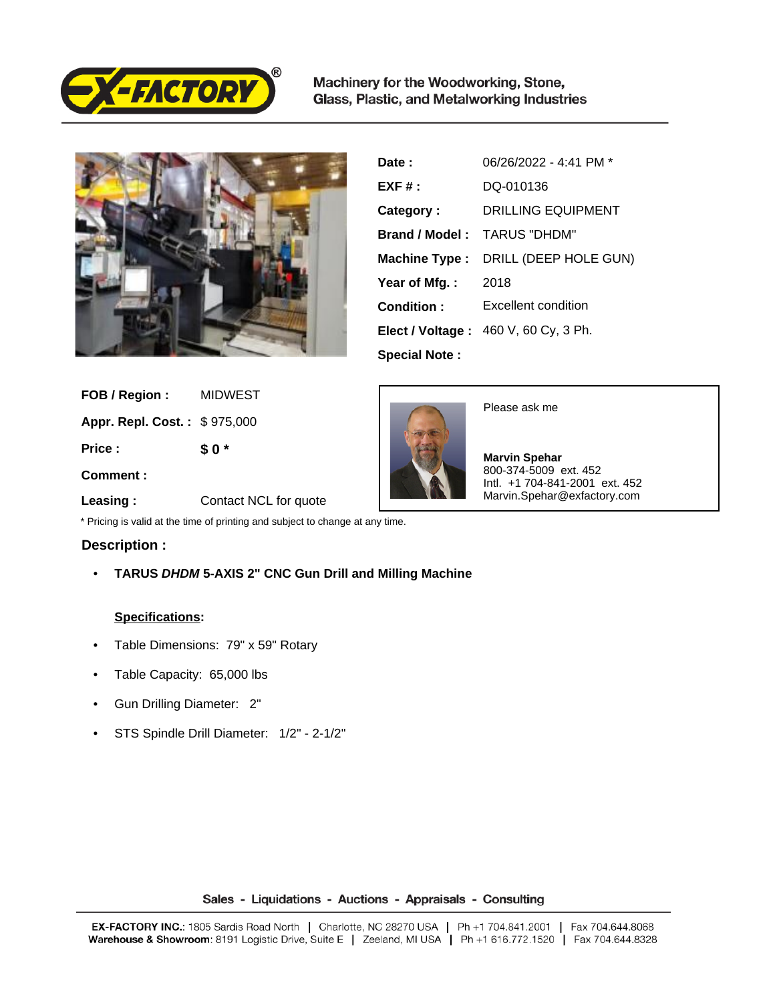

Machinery for the Woodworking, Stone, Glass, Plastic, and Metalworking Industries



| Date:                | 06/26/2022 - 4:41 PM *               |
|----------------------|--------------------------------------|
| $EXF#$ :             | DO-010136                            |
| Category:            | <b>DRILLING EQUIPMENT</b>            |
| Brand / Model:       | TARUS "DHDM"                         |
| Machine Type :       | DRILL (DEEP HOLE GUN)                |
| Year of Mfg.:        | 2018                                 |
| Condition:           | Excellent condition                  |
|                      | Elect / Voltage: 460 V, 60 Cy, 3 Ph. |
| <b>Special Note:</b> |                                      |

 **FOB / Region :** MIDWEST

 **Appr. Repl. Cost. :** \$ 975,000

 **Price :**

**\$ 0 \***

 **Comment :**



Please ask me

 **Marvin Spehar** 800-374-5009 ext. 452 Intl. +1 704-841-2001 ext. 452 Marvin.Spehar@exfactory.com

 **Leasing :** Contact NCL for quote

\* Pricing is valid at the time of printing and subject to change at any time.

## **Description :**

• **TARUS DHDM 5-AXIS 2" CNC Gun Drill and Milling Machine** 

## **Specifications:**

- Table Dimensions: 79" x 59" Rotary
- Table Capacity: 65,000 lbs
- Gun Drilling Diameter: 2"
- STS Spindle Drill Diameter: 1/2" 2-1/2"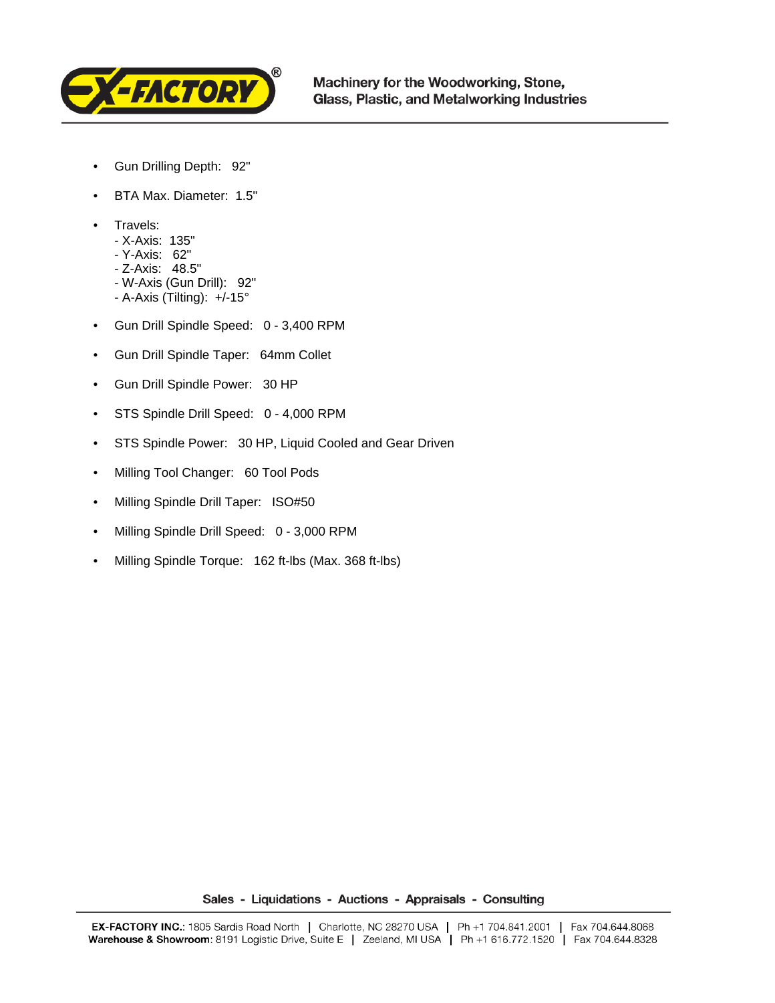

- Gun Drilling Depth: 92"
- BTA Max. Diameter: 1.5"
- Travels:
	- X-Axis: 135"
	- Y-Axis: 62"
	- Z-Axis: 48.5"
	- W-Axis (Gun Drill): 92"
	- A-Axis (Tilting): +/-15°
- Gun Drill Spindle Speed: 0 3,400 RPM
- Gun Drill Spindle Taper: 64mm Collet
- Gun Drill Spindle Power: 30 HP
- STS Spindle Drill Speed: 0 4,000 RPM
- STS Spindle Power: 30 HP, Liquid Cooled and Gear Driven
- Milling Tool Changer: 60 Tool Pods
- Milling Spindle Drill Taper: ISO#50
- Milling Spindle Drill Speed: 0 3,000 RPM
- Milling Spindle Torque: 162 ft-lbs (Max. 368 ft-lbs)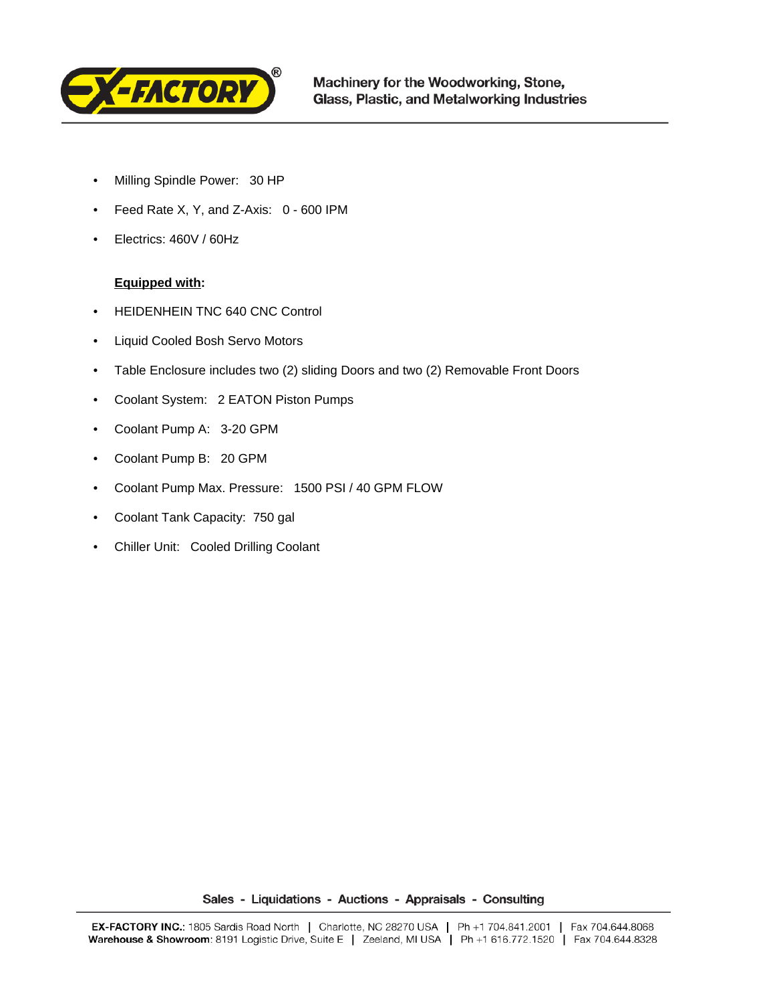

- Milling Spindle Power: 30 HP
- Feed Rate X, Y, and Z-Axis: 0 600 IPM
- Electrics: 460V / 60Hz

## **Equipped with:**

- HEIDENHEIN TNC 640 CNC Control
- Liquid Cooled Bosh Servo Motors
- Table Enclosure includes two (2) sliding Doors and two (2) Removable Front Doors
- Coolant System: 2 EATON Piston Pumps
- Coolant Pump A: 3-20 GPM
- Coolant Pump B: 20 GPM
- Coolant Pump Max. Pressure: 1500 PSI / 40 GPM FLOW
- Coolant Tank Capacity: 750 gal
- Chiller Unit: Cooled Drilling Coolant